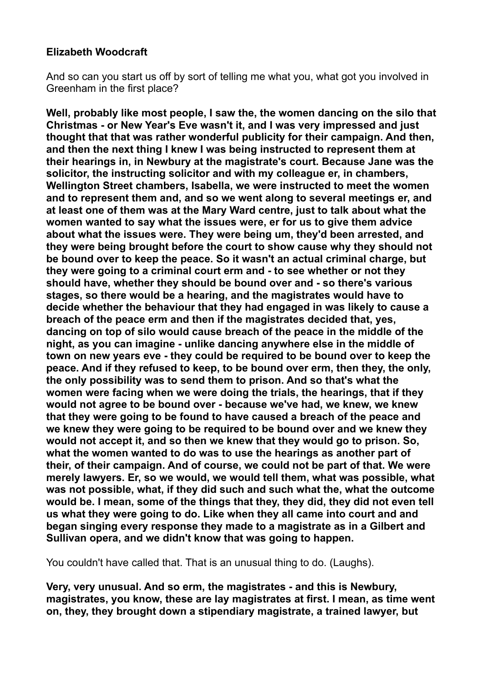#### **Elizabeth Woodcraft**

And so can you start us off by sort of telling me what you, what got you involved in Greenham in the first place?

**Well, probably like most people, I saw the, the women dancing on the silo that Christmas - or New Year's Eve wasn't it, and I was very impressed and just thought that that was rather wonderful publicity for their campaign. And then, and then the next thing I knew I was being instructed to represent them at their hearings in, in Newbury at the magistrate's court. Because Jane was the solicitor, the instructing solicitor and with my colleague er, in chambers, Wellington Street chambers, Isabella, we were instructed to meet the women and to represent them and, and so we went along to several meetings er, and at least one of them was at the Mary Ward centre, just to talk about what the women wanted to say what the issues were, er for us to give them advice about what the issues were. They were being um, they'd been arrested, and they were being brought before the court to show cause why they should not be bound over to keep the peace. So it wasn't an actual criminal charge, but they were going to a criminal court erm and - to see whether or not they should have, whether they should be bound over and - so there's various stages, so there would be a hearing, and the magistrates would have to decide whether the behaviour that they had engaged in was likely to cause a breach of the peace erm and then if the magistrates decided that, yes, dancing on top of silo would cause breach of the peace in the middle of the night, as you can imagine - unlike dancing anywhere else in the middle of town on new years eve - they could be required to be bound over to keep the peace. And if they refused to keep, to be bound over erm, then they, the only, the only possibility was to send them to prison. And so that's what the women were facing when we were doing the trials, the hearings, that if they would not agree to be bound over - because we've had, we knew, we knew that they were going to be found to have caused a breach of the peace and we knew they were going to be required to be bound over and we knew they would not accept it, and so then we knew that they would go to prison. So, what the women wanted to do was to use the hearings as another part of their, of their campaign. And of course, we could not be part of that. We were merely lawyers. Er, so we would, we would tell them, what was possible, what was not possible, what, if they did such and such what the, what the outcome would be. I mean, some of the things that they, they did, they did not even tell us what they were going to do. Like when they all came into court and and began singing every response they made to a magistrate as in a Gilbert and Sullivan opera, and we didn't know that was going to happen.** 

You couldn't have called that. That is an unusual thing to do. (Laughs).

**Very, very unusual. And so erm, the magistrates - and this is Newbury, magistrates, you know, these are lay magistrates at first. I mean, as time went on, they, they brought down a stipendiary magistrate, a trained lawyer, but**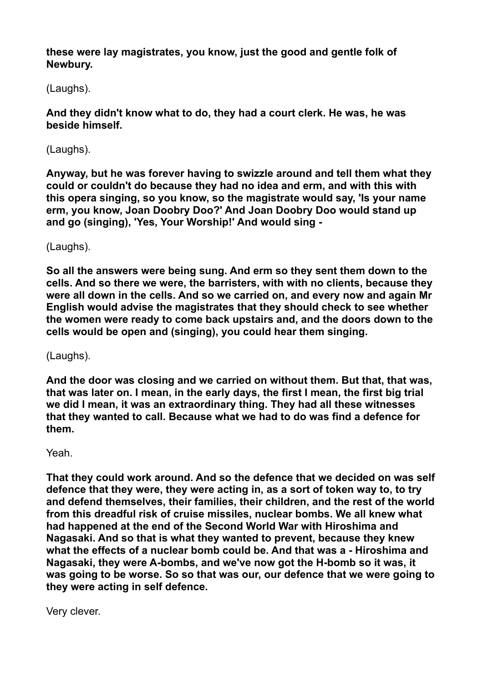**these were lay magistrates, you know, just the good and gentle folk of Newbury.** 

(Laughs).

**And they didn't know what to do, they had a court clerk. He was, he was beside himself.** 

(Laughs).

**Anyway, but he was forever having to swizzle around and tell them what they could or couldn't do because they had no idea and erm, and with this with this opera singing, so you know, so the magistrate would say, 'Is your name erm, you know, Joan Doobry Doo?' And Joan Doobry Doo would stand up and go (singing), 'Yes, Your Worship!' And would sing -** 

(Laughs).

**So all the answers were being sung. And erm so they sent them down to the cells. And so there we were, the barristers, with with no clients, because they were all down in the cells. And so we carried on, and every now and again Mr English would advise the magistrates that they should check to see whether the women were ready to come back upstairs and, and the doors down to the cells would be open and (singing), you could hear them singing.** 

(Laughs).

**And the door was closing and we carried on without them. But that, that was, that was later on. I mean, in the early days, the first I mean, the first big trial we did I mean, it was an extraordinary thing. They had all these witnesses that they wanted to call. Because what we had to do was find a defence for them.** 

Yeah.

**That they could work around. And so the defence that we decided on was self defence that they were, they were acting in, as a sort of token way to, to try and defend themselves, their families, their children, and the rest of the world from this dreadful risk of cruise missiles, nuclear bombs. We all knew what had happened at the end of the Second World War with Hiroshima and Nagasaki. And so that is what they wanted to prevent, because they knew what the effects of a nuclear bomb could be. And that was a - Hiroshima and Nagasaki, they were A-bombs, and we've now got the H-bomb so it was, it was going to be worse. So so that was our, our defence that we were going to they were acting in self defence.** 

Very clever.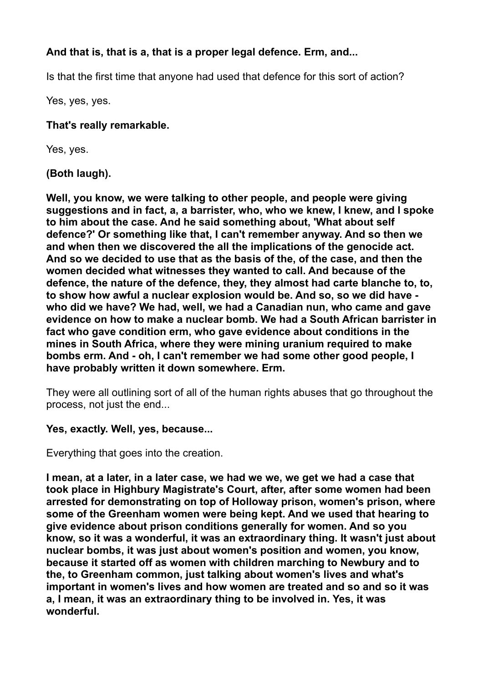# **And that is, that is a, that is a proper legal defence. Erm, and...**

Is that the first time that anyone had used that defence for this sort of action?

Yes, yes, yes.

### **That's really remarkable.**

Yes, yes.

# **(Both laugh).**

**Well, you know, we were talking to other people, and people were giving suggestions and in fact, a, a barrister, who, who we knew, I knew, and I spoke to him about the case. And he said something about, 'What about self defence?' Or something like that, I can't remember anyway. And so then we and when then we discovered the all the implications of the genocide act. And so we decided to use that as the basis of the, of the case, and then the women decided what witnesses they wanted to call. And because of the defence, the nature of the defence, they, they almost had carte blanche to, to, to show how awful a nuclear explosion would be. And so, so we did have who did we have? We had, well, we had a Canadian nun, who came and gave evidence on how to make a nuclear bomb. We had a South African barrister in fact who gave condition erm, who gave evidence about conditions in the mines in South Africa, where they were mining uranium required to make bombs erm. And - oh, I can't remember we had some other good people, I have probably written it down somewhere. Erm.** 

They were all outlining sort of all of the human rights abuses that go throughout the process, not just the end...

# **Yes, exactly. Well, yes, because...**

Everything that goes into the creation.

**I mean, at a later, in a later case, we had we we, we get we had a case that took place in Highbury Magistrate's Court, after, after some women had been arrested for demonstrating on top of Holloway prison, women's prison, where some of the Greenham women were being kept. And we used that hearing to give evidence about prison conditions generally for women. And so you know, so it was a wonderful, it was an extraordinary thing. It wasn't just about nuclear bombs, it was just about women's position and women, you know, because it started off as women with children marching to Newbury and to the, to Greenham common, just talking about women's lives and what's important in women's lives and how women are treated and so and so it was a, I mean, it was an extraordinary thing to be involved in. Yes, it was wonderful.**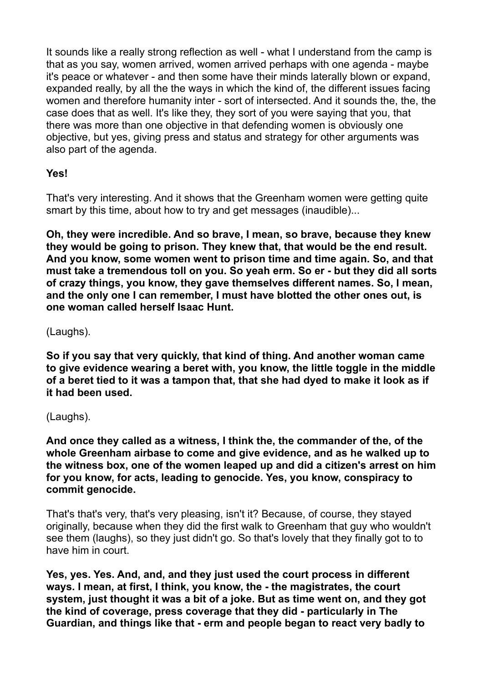It sounds like a really strong reflection as well - what I understand from the camp is that as you say, women arrived, women arrived perhaps with one agenda - maybe it's peace or whatever - and then some have their minds laterally blown or expand, expanded really, by all the the ways in which the kind of, the different issues facing women and therefore humanity inter - sort of intersected. And it sounds the, the, the case does that as well. It's like they, they sort of you were saying that you, that there was more than one objective in that defending women is obviously one objective, but yes, giving press and status and strategy for other arguments was also part of the agenda.

### **Yes!**

That's very interesting. And it shows that the Greenham women were getting quite smart by this time, about how to try and get messages (inaudible)...

**Oh, they were incredible. And so brave, I mean, so brave, because they knew they would be going to prison. They knew that, that would be the end result. And you know, some women went to prison time and time again. So, and that must take a tremendous toll on you. So yeah erm. So er - but they did all sorts of crazy things, you know, they gave themselves different names. So, I mean, and the only one I can remember, I must have blotted the other ones out, is one woman called herself Isaac Hunt.** 

(Laughs).

**So if you say that very quickly, that kind of thing. And another woman came to give evidence wearing a beret with, you know, the little toggle in the middle of a beret tied to it was a tampon that, that she had dyed to make it look as if it had been used.** 

(Laughs).

**And once they called as a witness, I think the, the commander of the, of the whole Greenham airbase to come and give evidence, and as he walked up to the witness box, one of the women leaped up and did a citizen's arrest on him for you know, for acts, leading to genocide. Yes, you know, conspiracy to commit genocide.** 

That's that's very, that's very pleasing, isn't it? Because, of course, they stayed originally, because when they did the first walk to Greenham that guy who wouldn't see them (laughs), so they just didn't go. So that's lovely that they finally got to to have him in court.

**Yes, yes. Yes. And, and, and they just used the court process in different ways. I mean, at first, I think, you know, the - the magistrates, the court system, just thought it was a bit of a joke. But as time went on, and they got the kind of coverage, press coverage that they did - particularly in The Guardian, and things like that - erm and people began to react very badly to**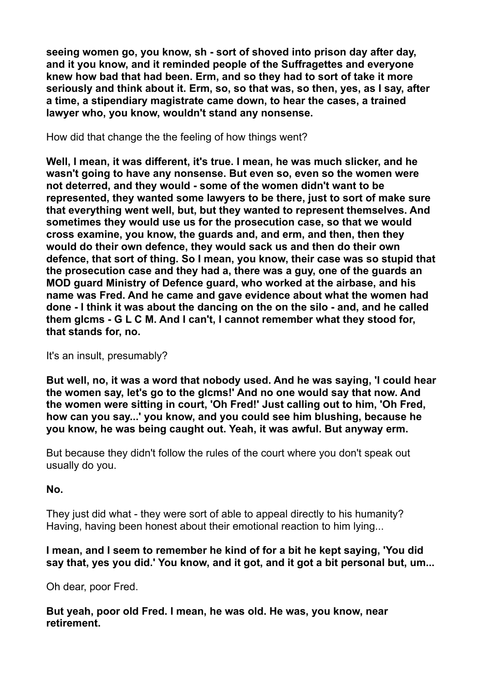**seeing women go, you know, sh - sort of shoved into prison day after day, and it you know, and it reminded people of the Suffragettes and everyone knew how bad that had been. Erm, and so they had to sort of take it more seriously and think about it. Erm, so, so that was, so then, yes, as I say, after a time, a stipendiary magistrate came down, to hear the cases, a trained lawyer who, you know, wouldn't stand any nonsense.** 

How did that change the the feeling of how things went?

**Well, I mean, it was different, it's true. I mean, he was much slicker, and he wasn't going to have any nonsense. But even so, even so the women were not deterred, and they would - some of the women didn't want to be represented, they wanted some lawyers to be there, just to sort of make sure that everything went well, but, but they wanted to represent themselves. And sometimes they would use us for the prosecution case, so that we would cross examine, you know, the guards and, and erm, and then, then they would do their own defence, they would sack us and then do their own defence, that sort of thing. So I mean, you know, their case was so stupid that the prosecution case and they had a, there was a guy, one of the guards an MOD guard Ministry of Defence guard, who worked at the airbase, and his name was Fred. And he came and gave evidence about what the women had done - I think it was about the dancing on the on the silo - and, and he called them glcms - G L C M. And I can't, I cannot remember what they stood for, that stands for, no.** 

It's an insult, presumably?

**But well, no, it was a word that nobody used. And he was saying, 'I could hear the women say, let's go to the glcms!' And no one would say that now. And the women were sitting in court, 'Oh Fred!' Just calling out to him, 'Oh Fred, how can you say...' you know, and you could see him blushing, because he you know, he was being caught out. Yeah, it was awful. But anyway erm.** 

But because they didn't follow the rules of the court where you don't speak out usually do you.

**No.** 

They just did what - they were sort of able to appeal directly to his humanity? Having, having been honest about their emotional reaction to him lying...

### **I mean, and I seem to remember he kind of for a bit he kept saying, 'You did say that, yes you did.' You know, and it got, and it got a bit personal but, um...**

Oh dear, poor Fred.

**But yeah, poor old Fred. I mean, he was old. He was, you know, near retirement.**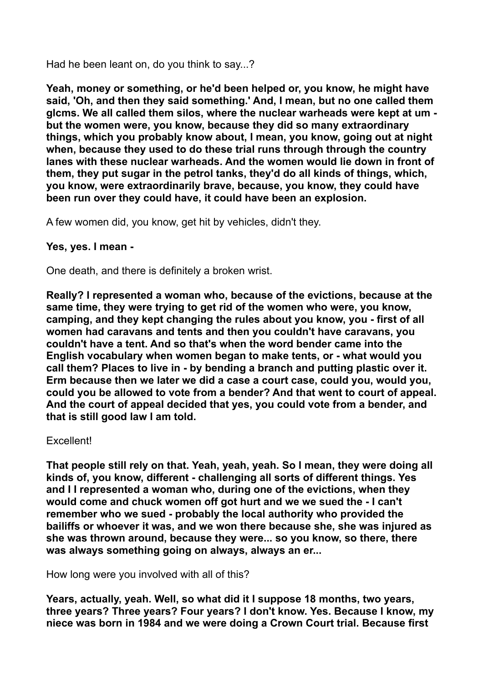Had he been leant on, do you think to say...?

**Yeah, money or something, or he'd been helped or, you know, he might have said, 'Oh, and then they said something.' And, I mean, but no one called them glcms. We all called them silos, where the nuclear warheads were kept at um but the women were, you know, because they did so many extraordinary things, which you probably know about, I mean, you know, going out at night when, because they used to do these trial runs through through the country lanes with these nuclear warheads. And the women would lie down in front of them, they put sugar in the petrol tanks, they'd do all kinds of things, which, you know, were extraordinarily brave, because, you know, they could have been run over they could have, it could have been an explosion.** 

A few women did, you know, get hit by vehicles, didn't they.

#### **Yes, yes. I mean -**

One death, and there is definitely a broken wrist.

**Really? I represented a woman who, because of the evictions, because at the same time, they were trying to get rid of the women who were, you know, camping, and they kept changing the rules about you know, you - first of all women had caravans and tents and then you couldn't have caravans, you couldn't have a tent. And so that's when the word bender came into the English vocabulary when women began to make tents, or - what would you call them? Places to live in - by bending a branch and putting plastic over it. Erm because then we later we did a case a court case, could you, would you, could you be allowed to vote from a bender? And that went to court of appeal. And the court of appeal decided that yes, you could vote from a bender, and that is still good law I am told.** 

#### Excellent!

**That people still rely on that. Yeah, yeah, yeah. So I mean, they were doing all kinds of, you know, different - challenging all sorts of different things. Yes and I I represented a woman who, during one of the evictions, when they would come and chuck women off got hurt and we we sued the - I can't remember who we sued - probably the local authority who provided the bailiffs or whoever it was, and we won there because she, she was injured as she was thrown around, because they were... so you know, so there, there was always something going on always, always an er...** 

How long were you involved with all of this?

**Years, actually, yeah. Well, so what did it I suppose 18 months, two years, three years? Three years? Four years? I don't know. Yes. Because I know, my niece was born in 1984 and we were doing a Crown Court trial. Because first**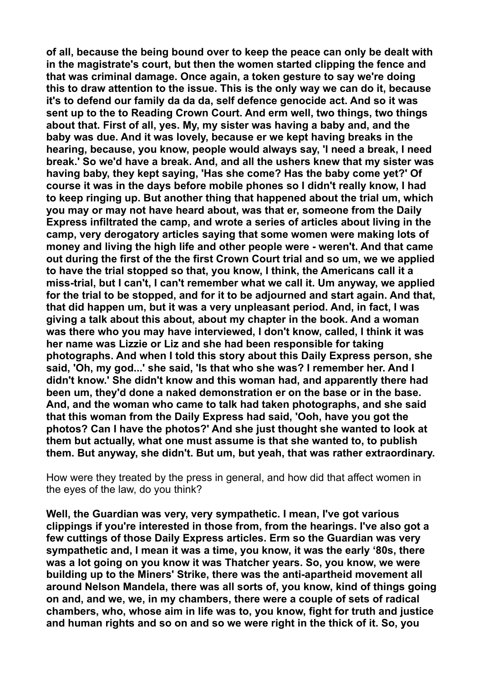**of all, because the being bound over to keep the peace can only be dealt with in the magistrate's court, but then the women started clipping the fence and that was criminal damage. Once again, a token gesture to say we're doing this to draw attention to the issue. This is the only way we can do it, because it's to defend our family da da da, self defence genocide act. And so it was sent up to the to Reading Crown Court. And erm well, two things, two things about that. First of all, yes. My, my sister was having a baby and, and the baby was due. And it was lovely, because er we kept having breaks in the hearing, because, you know, people would always say, 'I need a break, I need break.' So we'd have a break. And, and all the ushers knew that my sister was having baby, they kept saying, 'Has she come? Has the baby come yet?' Of course it was in the days before mobile phones so I didn't really know, I had to keep ringing up. But another thing that happened about the trial um, which you may or may not have heard about, was that er, someone from the Daily Express infiltrated the camp, and wrote a series of articles about living in the camp, very derogatory articles saying that some women were making lots of money and living the high life and other people were - weren't. And that came out during the first of the the first Crown Court trial and so um, we we applied to have the trial stopped so that, you know, I think, the Americans call it a miss-trial, but I can't, I can't remember what we call it. Um anyway, we applied for the trial to be stopped, and for it to be adjourned and start again. And that, that did happen um, but it was a very unpleasant period. And, in fact, I was giving a talk about this about, about my chapter in the book. And a woman was there who you may have interviewed, I don't know, called, I think it was her name was Lizzie or Liz and she had been responsible for taking photographs. And when I told this story about this Daily Express person, she said, 'Oh, my god...' she said, 'Is that who she was? I remember her. And I didn't know.' She didn't know and this woman had, and apparently there had been um, they'd done a naked demonstration er on the base or in the base. And, and the woman who came to talk had taken photographs, and she said that this woman from the Daily Express had said, 'Ooh, have you got the photos? Can I have the photos?' And she just thought she wanted to look at them but actually, what one must assume is that she wanted to, to publish them. But anyway, she didn't. But um, but yeah, that was rather extraordinary.** 

How were they treated by the press in general, and how did that affect women in the eyes of the law, do you think?

**Well, the Guardian was very, very sympathetic. I mean, I've got various clippings if you're interested in those from, from the hearings. I've also got a few cuttings of those Daily Express articles. Erm so the Guardian was very sympathetic and, I mean it was a time, you know, it was the early '80s, there was a lot going on you know it was Thatcher years. So, you know, we were building up to the Miners' Strike, there was the anti-apartheid movement all around Nelson Mandela, there was all sorts of, you know, kind of things going on and, and we, we, in my chambers, there were a couple of sets of radical chambers, who, whose aim in life was to, you know, fight for truth and justice and human rights and so on and so we were right in the thick of it. So, you**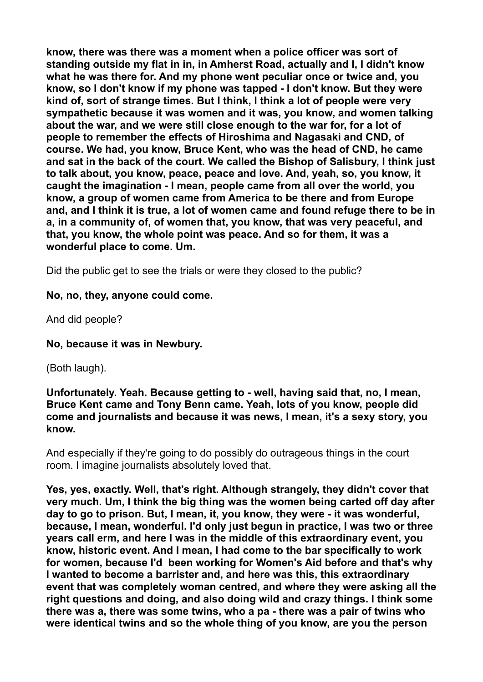**know, there was there was a moment when a police officer was sort of standing outside my flat in in, in Amherst Road, actually and I, I didn't know what he was there for. And my phone went peculiar once or twice and, you know, so I don't know if my phone was tapped - I don't know. But they were kind of, sort of strange times. But I think, I think a lot of people were very sympathetic because it was women and it was, you know, and women talking about the war, and we were still close enough to the war for, for a lot of people to remember the effects of Hiroshima and Nagasaki and CND, of course. We had, you know, Bruce Kent, who was the head of CND, he came and sat in the back of the court. We called the Bishop of Salisbury, I think just to talk about, you know, peace, peace and love. And, yeah, so, you know, it caught the imagination - I mean, people came from all over the world, you know, a group of women came from America to be there and from Europe and, and I think it is true, a lot of women came and found refuge there to be in a, in a community of, of women that, you know, that was very peaceful, and that, you know, the whole point was peace. And so for them, it was a wonderful place to come. Um.** 

Did the public get to see the trials or were they closed to the public?

**No, no, they, anyone could come.** 

And did people?

**No, because it was in Newbury.** 

(Both laugh).

**Unfortunately. Yeah. Because getting to - well, having said that, no, I mean, Bruce Kent came and Tony Benn came. Yeah, lots of you know, people did come and journalists and because it was news, I mean, it's a sexy story, you know.** 

And especially if they're going to do possibly do outrageous things in the court room. I imagine journalists absolutely loved that.

**Yes, yes, exactly. Well, that's right. Although strangely, they didn't cover that very much. Um, I think the big thing was the women being carted off day after day to go to prison. But, I mean, it, you know, they were - it was wonderful, because, I mean, wonderful. I'd only just begun in practice, I was two or three years call erm, and here I was in the middle of this extraordinary event, you know, historic event. And I mean, I had come to the bar specifically to work for women, because I'd been working for Women's Aid before and that's why I wanted to become a barrister and, and here was this, this extraordinary event that was completely woman centred, and where they were asking all the right questions and doing, and also doing wild and crazy things. I think some there was a, there was some twins, who a pa - there was a pair of twins who were identical twins and so the whole thing of you know, are you the person**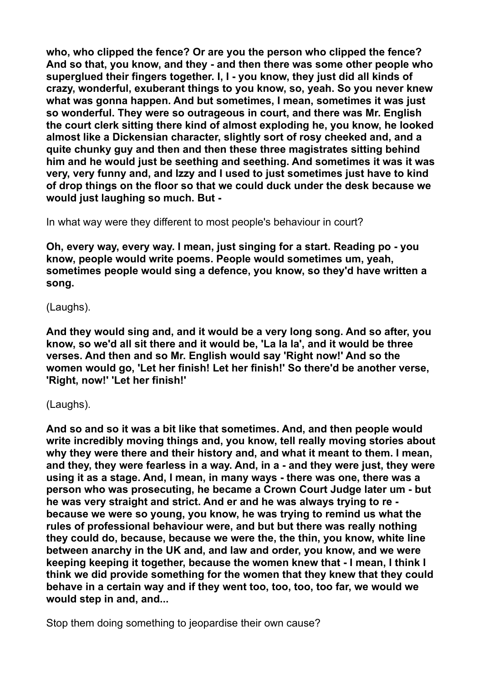**who, who clipped the fence? Or are you the person who clipped the fence? And so that, you know, and they - and then there was some other people who superglued their fingers together. I, I - you know, they just did all kinds of crazy, wonderful, exuberant things to you know, so, yeah. So you never knew what was gonna happen. And but sometimes, I mean, sometimes it was just so wonderful. They were so outrageous in court, and there was Mr. English the court clerk sitting there kind of almost exploding he, you know, he looked almost like a Dickensian character, slightly sort of rosy cheeked and, and a quite chunky guy and then and then these three magistrates sitting behind him and he would just be seething and seething. And sometimes it was it was very, very funny and, and Izzy and I used to just sometimes just have to kind of drop things on the floor so that we could duck under the desk because we would just laughing so much. But -** 

In what way were they different to most people's behaviour in court?

**Oh, every way, every way. I mean, just singing for a start. Reading po - you know, people would write poems. People would sometimes um, yeah, sometimes people would sing a defence, you know, so they'd have written a song.** 

#### (Laughs).

**And they would sing and, and it would be a very long song. And so after, you know, so we'd all sit there and it would be, 'La la la', and it would be three verses. And then and so Mr. English would say 'Right now!' And so the women would go, 'Let her finish! Let her finish!' So there'd be another verse, 'Right, now!' 'Let her finish!'** 

(Laughs).

**And so and so it was a bit like that sometimes. And, and then people would write incredibly moving things and, you know, tell really moving stories about why they were there and their history and, and what it meant to them. I mean, and they, they were fearless in a way. And, in a - and they were just, they were using it as a stage. And, I mean, in many ways - there was one, there was a person who was prosecuting, he became a Crown Court Judge later um - but he was very straight and strict. And er and he was always trying to re because we were so young, you know, he was trying to remind us what the rules of professional behaviour were, and but but there was really nothing they could do, because, because we were the, the thin, you know, white line between anarchy in the UK and, and law and order, you know, and we were keeping keeping it together, because the women knew that - I mean, I think I think we did provide something for the women that they knew that they could behave in a certain way and if they went too, too, too, too far, we would we would step in and, and...** 

Stop them doing something to jeopardise their own cause?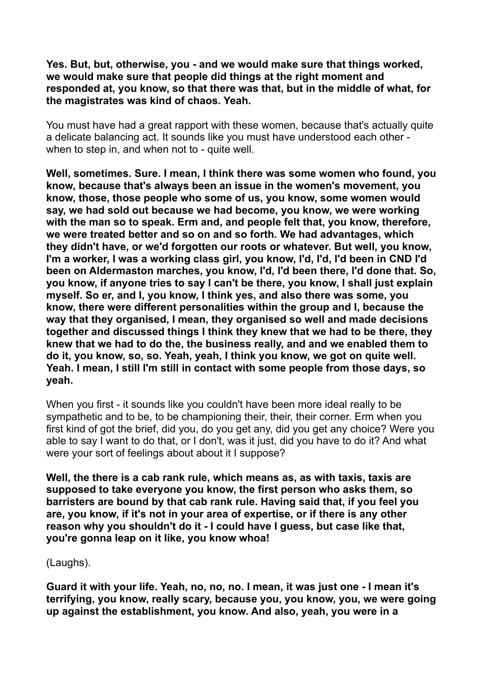#### **Yes. But, but, otherwise, you - and we would make sure that things worked, we would make sure that people did things at the right moment and responded at, you know, so that there was that, but in the middle of what, for the magistrates was kind of chaos. Yeah.**

You must have had a great rapport with these women, because that's actually quite a delicate balancing act. It sounds like you must have understood each other when to step in, and when not to - quite well.

**Well, sometimes. Sure. I mean, I think there was some women who found, you know, because that's always been an issue in the women's movement, you know, those, those people who some of us, you know, some women would say, we had sold out because we had become, you know, we were working with the man so to speak. Erm and, and people felt that, you know, therefore, we were treated better and so on and so forth. We had advantages, which they didn't have, or we'd forgotten our roots or whatever. But well, you know, I'm a worker, I was a working class girl, you know, I'd, I'd, I'd been in CND I'd been on Aldermaston marches, you know, I'd, I'd been there, I'd done that. So, you know, if anyone tries to say I can't be there, you know, I shall just explain myself. So er, and I, you know, I think yes, and also there was some, you know, there were different personalities within the group and I, because the way that they organised, I mean, they organised so well and made decisions together and discussed things I think they knew that we had to be there, they knew that we had to do the, the business really, and and we enabled them to do it, you know, so, so. Yeah, yeah, I think you know, we got on quite well. Yeah. I mean, I still I'm still in contact with some people from those days, so yeah.** 

When you first - it sounds like you couldn't have been more ideal really to be sympathetic and to be, to be championing their, their, their corner. Erm when you first kind of got the brief, did you, do you get any, did you get any choice? Were you able to say I want to do that, or I don't, was it just, did you have to do it? And what were your sort of feelings about about it I suppose?

**Well, the there is a cab rank rule, which means as, as with taxis, taxis are supposed to take everyone you know, the first person who asks them, so barristers are bound by that cab rank rule. Having said that, if you feel you are, you know, if it's not in your area of expertise, or if there is any other reason why you shouldn't do it - I could have I guess, but case like that, you're gonna leap on it like, you know whoa!** 

(Laughs).

**Guard it with your life. Yeah, no, no, no. I mean, it was just one - I mean it's terrifying, you know, really scary, because you, you know, you, we were going up against the establishment, you know. And also, yeah, you were in a**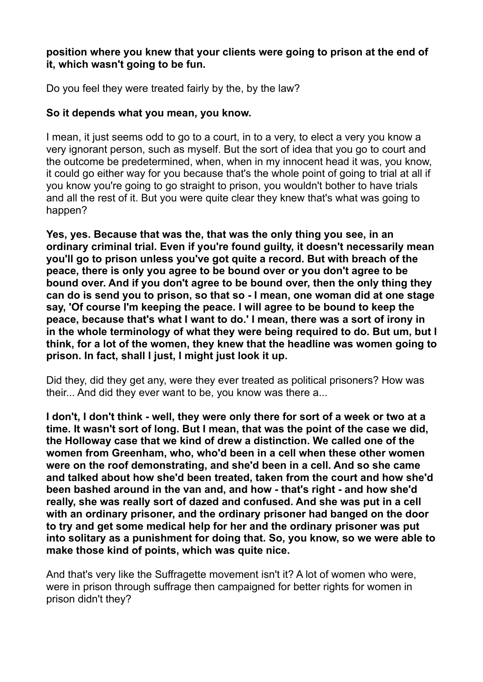### **position where you knew that your clients were going to prison at the end of it, which wasn't going to be fun.**

Do you feel they were treated fairly by the, by the law?

### **So it depends what you mean, you know.**

I mean, it just seems odd to go to a court, in to a very, to elect a very you know a very ignorant person, such as myself. But the sort of idea that you go to court and the outcome be predetermined, when, when in my innocent head it was, you know, it could go either way for you because that's the whole point of going to trial at all if you know you're going to go straight to prison, you wouldn't bother to have trials and all the rest of it. But you were quite clear they knew that's what was going to happen?

**Yes, yes. Because that was the, that was the only thing you see, in an ordinary criminal trial. Even if you're found guilty, it doesn't necessarily mean you'll go to prison unless you've got quite a record. But with breach of the peace, there is only you agree to be bound over or you don't agree to be bound over. And if you don't agree to be bound over, then the only thing they can do is send you to prison, so that so - I mean, one woman did at one stage say, 'Of course I'm keeping the peace. I will agree to be bound to keep the peace, because that's what I want to do.' I mean, there was a sort of irony in in the whole terminology of what they were being required to do. But um, but I think, for a lot of the women, they knew that the headline was women going to prison. In fact, shall I just, I might just look it up.** 

Did they, did they get any, were they ever treated as political prisoners? How was their... And did they ever want to be, you know was there a...

**I don't, I don't think - well, they were only there for sort of a week or two at a time. It wasn't sort of long. But I mean, that was the point of the case we did, the Holloway case that we kind of drew a distinction. We called one of the women from Greenham, who, who'd been in a cell when these other women were on the roof demonstrating, and she'd been in a cell. And so she came and talked about how she'd been treated, taken from the court and how she'd been bashed around in the van and, and how - that's right - and how she'd really, she was really sort of dazed and confused. And she was put in a cell with an ordinary prisoner, and the ordinary prisoner had banged on the door to try and get some medical help for her and the ordinary prisoner was put into solitary as a punishment for doing that. So, you know, so we were able to make those kind of points, which was quite nice.** 

And that's very like the Suffragette movement isn't it? A lot of women who were, were in prison through suffrage then campaigned for better rights for women in prison didn't they?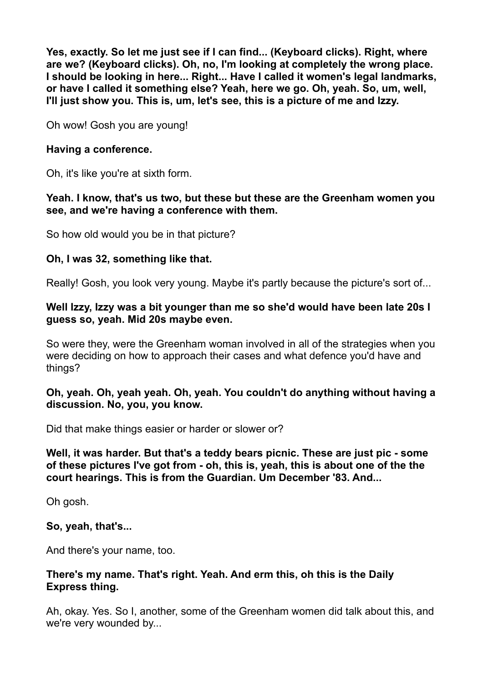**Yes, exactly. So let me just see if I can find... (Keyboard clicks). Right, where are we? (Keyboard clicks). Oh, no, I'm looking at completely the wrong place. I should be looking in here... Right... Have I called it women's legal landmarks, or have I called it something else? Yeah, here we go. Oh, yeah. So, um, well, I'll just show you. This is, um, let's see, this is a picture of me and Izzy.** 

Oh wow! Gosh you are young!

### **Having a conference.**

Oh, it's like you're at sixth form.

#### **Yeah. I know, that's us two, but these but these are the Greenham women you see, and we're having a conference with them.**

So how old would you be in that picture?

### **Oh, I was 32, something like that.**

Really! Gosh, you look very young. Maybe it's partly because the picture's sort of...

#### **Well Izzy, Izzy was a bit younger than me so she'd would have been late 20s I guess so, yeah. Mid 20s maybe even.**

So were they, were the Greenham woman involved in all of the strategies when you were deciding on how to approach their cases and what defence you'd have and things?

#### **Oh, yeah. Oh, yeah yeah. Oh, yeah. You couldn't do anything without having a discussion. No, you, you know.**

Did that make things easier or harder or slower or?

**Well, it was harder. But that's a teddy bears picnic. These are just pic - some of these pictures I've got from - oh, this is, yeah, this is about one of the the court hearings. This is from the Guardian. Um December '83. And...** 

Oh gosh.

### **So, yeah, that's...**

And there's your name, too.

#### **There's my name. That's right. Yeah. And erm this, oh this is the Daily Express thing.**

Ah, okay. Yes. So I, another, some of the Greenham women did talk about this, and we're very wounded by...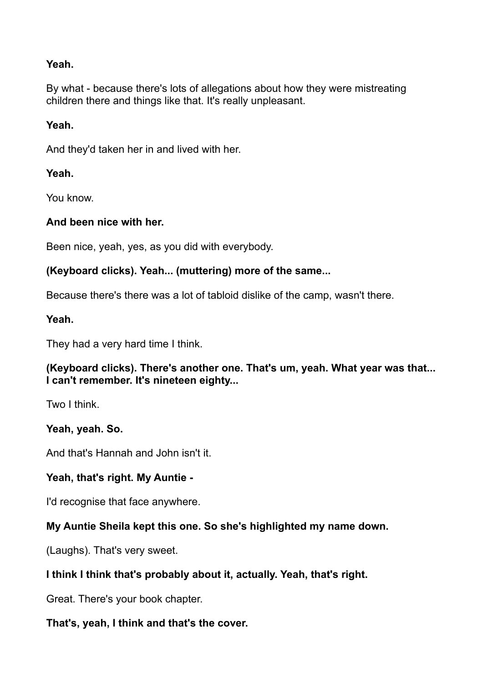### **Yeah.**

By what - because there's lots of allegations about how they were mistreating children there and things like that. It's really unpleasant.

## **Yeah.**

And they'd taken her in and lived with her.

## **Yeah.**

You know.

# **And been nice with her.**

Been nice, yeah, yes, as you did with everybody.

# **(Keyboard clicks). Yeah... (muttering) more of the same...**

Because there's there was a lot of tabloid dislike of the camp, wasn't there.

### **Yeah.**

They had a very hard time I think.

# **(Keyboard clicks). There's another one. That's um, yeah. What year was that... I can't remember. It's nineteen eighty...**

Two I think.

# **Yeah, yeah. So.**

And that's Hannah and John isn't it.

# **Yeah, that's right. My Auntie -**

I'd recognise that face anywhere.

# **My Auntie Sheila kept this one. So she's highlighted my name down.**

(Laughs). That's very sweet.

# **I think I think that's probably about it, actually. Yeah, that's right.**

Great. There's your book chapter.

# **That's, yeah, I think and that's the cover.**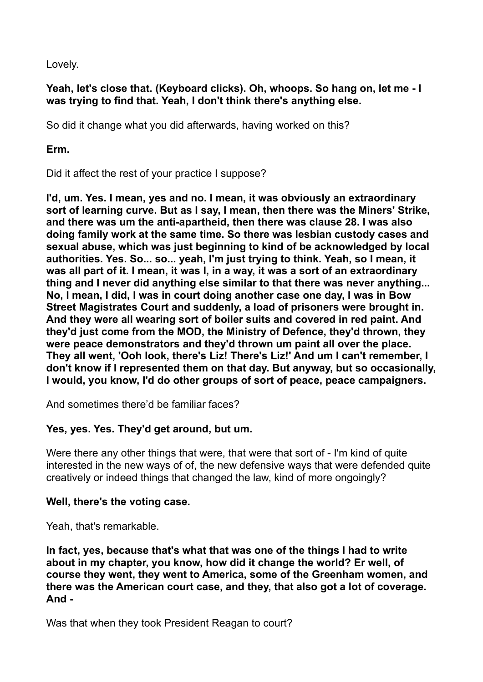Lovely.

### **Yeah, let's close that. (Keyboard clicks). Oh, whoops. So hang on, let me - I was trying to find that. Yeah, I don't think there's anything else.**

So did it change what you did afterwards, having worked on this?

**Erm.** 

Did it affect the rest of your practice I suppose?

**I'd, um. Yes. I mean, yes and no. I mean, it was obviously an extraordinary sort of learning curve. But as I say, I mean, then there was the Miners' Strike, and there was um the anti-apartheid, then there was clause 28. I was also doing family work at the same time. So there was lesbian custody cases and sexual abuse, which was just beginning to kind of be acknowledged by local authorities. Yes. So... so... yeah, I'm just trying to think. Yeah, so I mean, it was all part of it. I mean, it was I, in a way, it was a sort of an extraordinary thing and I never did anything else similar to that there was never anything... No, I mean, I did, I was in court doing another case one day, I was in Bow Street Magistrates Court and suddenly, a load of prisoners were brought in. And they were all wearing sort of boiler suits and covered in red paint. And they'd just come from the MOD, the Ministry of Defence, they'd thrown, they were peace demonstrators and they'd thrown um paint all over the place. They all went, 'Ooh look, there's Liz! There's Liz!' And um I can't remember, I don't know if I represented them on that day. But anyway, but so occasionally, I would, you know, I'd do other groups of sort of peace, peace campaigners.** 

And sometimes there'd be familiar faces?

# **Yes, yes. Yes. They'd get around, but um.**

Were there any other things that were, that were that sort of - I'm kind of quite interested in the new ways of of, the new defensive ways that were defended quite creatively or indeed things that changed the law, kind of more ongoingly?

### **Well, there's the voting case.**

Yeah, that's remarkable.

**In fact, yes, because that's what that was one of the things I had to write about in my chapter, you know, how did it change the world? Er well, of course they went, they went to America, some of the Greenham women, and there was the American court case, and they, that also got a lot of coverage. And -** 

Was that when they took President Reagan to court?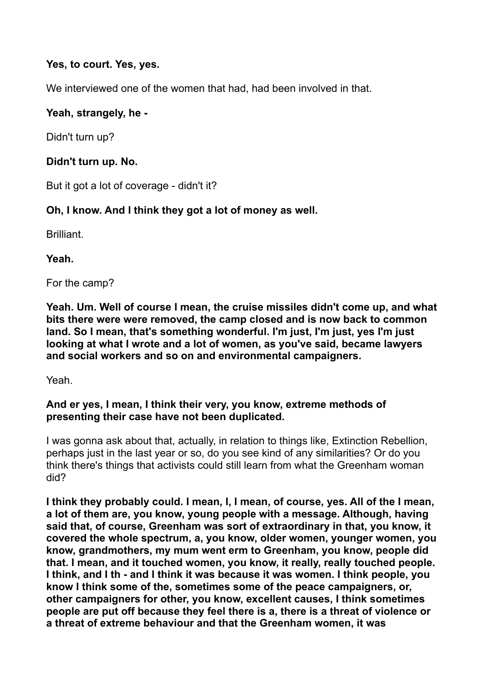### **Yes, to court. Yes, yes.**

We interviewed one of the women that had, had been involved in that.

# **Yeah, strangely, he -**

Didn't turn up?

## **Didn't turn up. No.**

But it got a lot of coverage - didn't it?

# **Oh, I know. And I think they got a lot of money as well.**

Brilliant.

**Yeah.** 

For the camp?

**Yeah. Um. Well of course I mean, the cruise missiles didn't come up, and what bits there were were removed, the camp closed and is now back to common land. So I mean, that's something wonderful. I'm just, I'm just, yes I'm just looking at what I wrote and a lot of women, as you've said, became lawyers and social workers and so on and environmental campaigners.** 

Yeah.

### **And er yes, I mean, I think their very, you know, extreme methods of presenting their case have not been duplicated.**

I was gonna ask about that, actually, in relation to things like, Extinction Rebellion, perhaps just in the last year or so, do you see kind of any similarities? Or do you think there's things that activists could still learn from what the Greenham woman did?

**I think they probably could. I mean, I, I mean, of course, yes. All of the I mean, a lot of them are, you know, young people with a message. Although, having said that, of course, Greenham was sort of extraordinary in that, you know, it covered the whole spectrum, a, you know, older women, younger women, you know, grandmothers, my mum went erm to Greenham, you know, people did that. I mean, and it touched women, you know, it really, really touched people. I think, and I th - and I think it was because it was women. I think people, you know I think some of the, sometimes some of the peace campaigners, or, other campaigners for other, you know, excellent causes, I think sometimes people are put off because they feel there is a, there is a threat of violence or a threat of extreme behaviour and that the Greenham women, it was**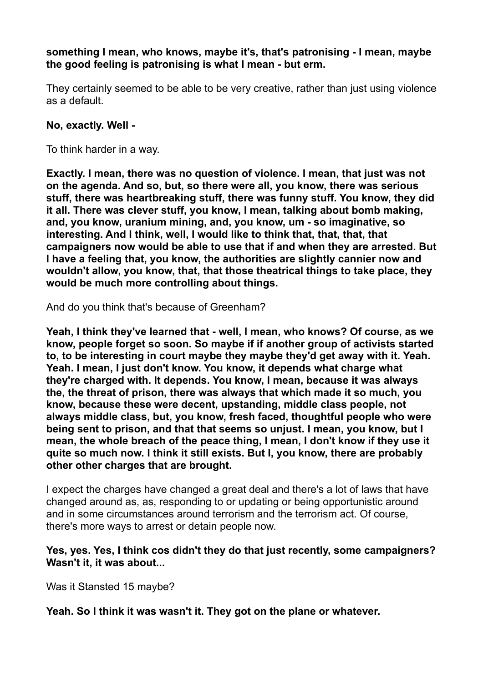**something I mean, who knows, maybe it's, that's patronising - I mean, maybe the good feeling is patronising is what I mean - but erm.** 

They certainly seemed to be able to be very creative, rather than just using violence as a default.

#### **No, exactly. Well -**

To think harder in a way.

**Exactly. I mean, there was no question of violence. I mean, that just was not on the agenda. And so, but, so there were all, you know, there was serious stuff, there was heartbreaking stuff, there was funny stuff. You know, they did it all. There was clever stuff, you know, I mean, talking about bomb making, and, you know, uranium mining, and, you know, um - so imaginative, so interesting. And I think, well, I would like to think that, that, that, that campaigners now would be able to use that if and when they are arrested. But I have a feeling that, you know, the authorities are slightly cannier now and wouldn't allow, you know, that, that those theatrical things to take place, they would be much more controlling about things.** 

And do you think that's because of Greenham?

**Yeah, I think they've learned that - well, I mean, who knows? Of course, as we know, people forget so soon. So maybe if if another group of activists started to, to be interesting in court maybe they maybe they'd get away with it. Yeah. Yeah. I mean, I just don't know. You know, it depends what charge what they're charged with. It depends. You know, I mean, because it was always the, the threat of prison, there was always that which made it so much, you know, because these were decent, upstanding, middle class people, not always middle class, but, you know, fresh faced, thoughtful people who were being sent to prison, and that that seems so unjust. I mean, you know, but I mean, the whole breach of the peace thing, I mean, I don't know if they use it quite so much now. I think it still exists. But I, you know, there are probably other other charges that are brought.** 

I expect the charges have changed a great deal and there's a lot of laws that have changed around as, as, responding to or updating or being opportunistic around and in some circumstances around terrorism and the terrorism act. Of course, there's more ways to arrest or detain people now.

#### **Yes, yes. Yes, I think cos didn't they do that just recently, some campaigners? Wasn't it, it was about...**

Was it Stansted 15 maybe?

**Yeah. So I think it was wasn't it. They got on the plane or whatever.**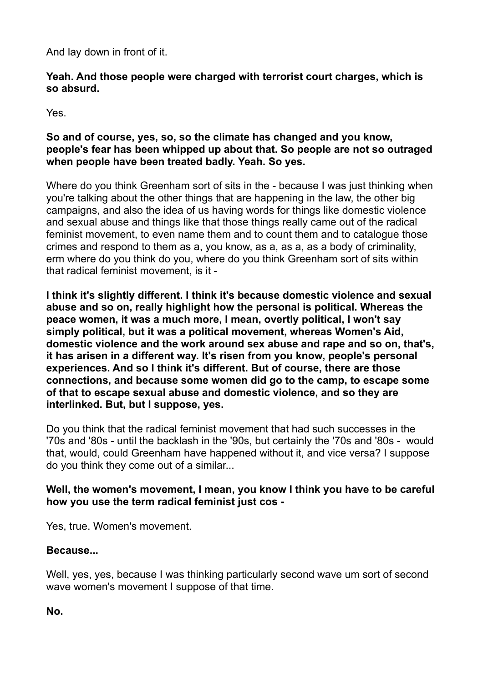And lay down in front of it.

### **Yeah. And those people were charged with terrorist court charges, which is so absurd.**

Yes.

### **So and of course, yes, so, so the climate has changed and you know, people's fear has been whipped up about that. So people are not so outraged when people have been treated badly. Yeah. So yes.**

Where do you think Greenham sort of sits in the - because I was just thinking when you're talking about the other things that are happening in the law, the other big campaigns, and also the idea of us having words for things like domestic violence and sexual abuse and things like that those things really came out of the radical feminist movement, to even name them and to count them and to catalogue those crimes and respond to them as a, you know, as a, as a, as a body of criminality, erm where do you think do you, where do you think Greenham sort of sits within that radical feminist movement, is it -

**I think it's slightly different. I think it's because domestic violence and sexual abuse and so on, really highlight how the personal is political. Whereas the peace women, it was a much more, I mean, overtly political, I won't say simply political, but it was a political movement, whereas Women's Aid, domestic violence and the work around sex abuse and rape and so on, that's, it has arisen in a different way. It's risen from you know, people's personal experiences. And so I think it's different. But of course, there are those connections, and because some women did go to the camp, to escape some of that to escape sexual abuse and domestic violence, and so they are interlinked. But, but I suppose, yes.** 

Do you think that the radical feminist movement that had such successes in the '70s and '80s - until the backlash in the '90s, but certainly the '70s and '80s - would that, would, could Greenham have happened without it, and vice versa? I suppose do you think they come out of a similar...

### **Well, the women's movement, I mean, you know I think you have to be careful how you use the term radical feminist just cos -**

Yes, true. Women's movement.

### **Because...**

Well, yes, yes, because I was thinking particularly second wave um sort of second wave women's movement I suppose of that time.

**No.**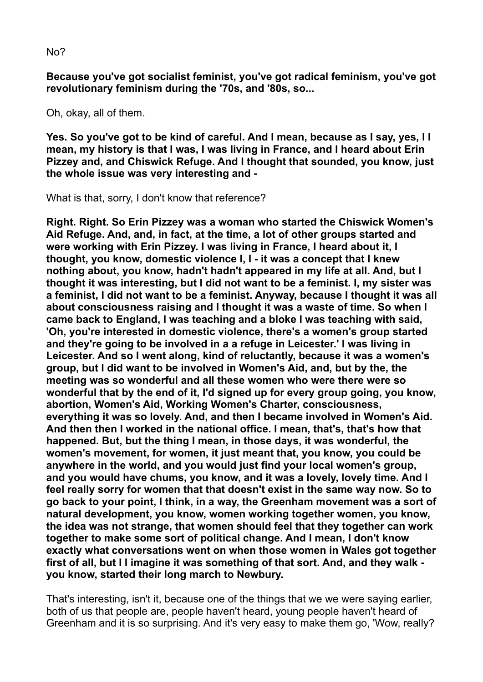No?

**Because you've got socialist feminist, you've got radical feminism, you've got revolutionary feminism during the '70s, and '80s, so...** 

Oh, okay, all of them.

**Yes. So you've got to be kind of careful. And I mean, because as I say, yes, I I mean, my history is that I was, I was living in France, and I heard about Erin Pizzey and, and Chiswick Refuge. And I thought that sounded, you know, just the whole issue was very interesting and -** 

What is that, sorry, I don't know that reference?

**Right. Right. So Erin Pizzey was a woman who started the Chiswick Women's Aid Refuge. And, and, in fact, at the time, a lot of other groups started and were working with Erin Pizzey. I was living in France, I heard about it, I thought, you know, domestic violence I, I - it was a concept that I knew nothing about, you know, hadn't hadn't appeared in my life at all. And, but I thought it was interesting, but I did not want to be a feminist. I, my sister was a feminist, I did not want to be a feminist. Anyway, because I thought it was all about consciousness raising and I thought it was a waste of time. So when I came back to England, I was teaching and a bloke I was teaching with said, 'Oh, you're interested in domestic violence, there's a women's group started and they're going to be involved in a a refuge in Leicester.' I was living in Leicester. And so I went along, kind of reluctantly, because it was a women's group, but I did want to be involved in Women's Aid, and, but by the, the meeting was so wonderful and all these women who were there were so wonderful that by the end of it, I'd signed up for every group going, you know, abortion, Women's Aid, Working Women's Charter, consciousness, everything it was so lovely. And, and then I became involved in Women's Aid. And then then I worked in the national office. I mean, that's, that's how that happened. But, but the thing I mean, in those days, it was wonderful, the women's movement, for women, it just meant that, you know, you could be anywhere in the world, and you would just find your local women's group, and you would have chums, you know, and it was a lovely, lovely time. And I feel really sorry for women that that doesn't exist in the same way now. So to go back to your point, I think, in a way, the Greenham movement was a sort of natural development, you know, women working together women, you know, the idea was not strange, that women should feel that they together can work together to make some sort of political change. And I mean, I don't know exactly what conversations went on when those women in Wales got together first of all, but I I imagine it was something of that sort. And, and they walk you know, started their long march to Newbury.** 

That's interesting, isn't it, because one of the things that we we were saying earlier, both of us that people are, people haven't heard, young people haven't heard of Greenham and it is so surprising. And it's very easy to make them go, 'Wow, really?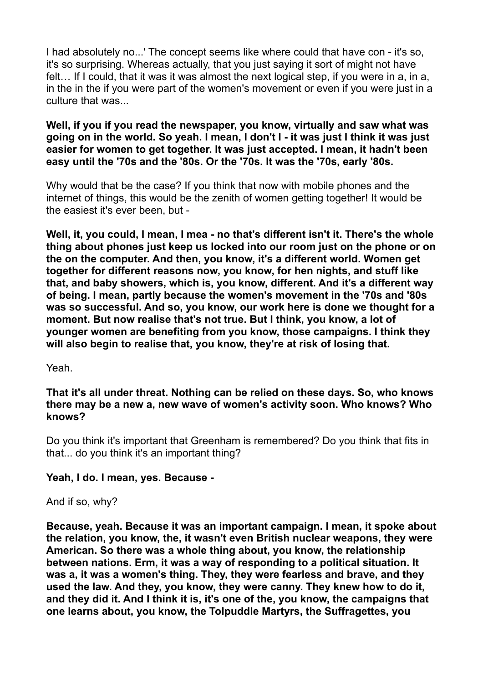I had absolutely no...' The concept seems like where could that have con - it's so, it's so surprising. Whereas actually, that you just saying it sort of might not have felt… If I could, that it was it was almost the next logical step, if you were in a, in a, in the in the if you were part of the women's movement or even if you were just in a culture that was...

#### **Well, if you if you read the newspaper, you know, virtually and saw what was going on in the world. So yeah. I mean, I don't I - it was just I think it was just easier for women to get together. It was just accepted. I mean, it hadn't been easy until the '70s and the '80s. Or the '70s. It was the '70s, early '80s.**

Why would that be the case? If you think that now with mobile phones and the internet of things, this would be the zenith of women getting together! It would be the easiest it's ever been, but -

**Well, it, you could, I mean, I mea - no that's different isn't it. There's the whole thing about phones just keep us locked into our room just on the phone or on the on the computer. And then, you know, it's a different world. Women get together for different reasons now, you know, for hen nights, and stuff like that, and baby showers, which is, you know, different. And it's a different way of being. I mean, partly because the women's movement in the '70s and '80s was so successful. And so, you know, our work here is done we thought for a moment. But now realise that's not true. But I think, you know, a lot of younger women are benefiting from you know, those campaigns. I think they will also begin to realise that, you know, they're at risk of losing that.** 

#### Yeah.

#### **That it's all under threat. Nothing can be relied on these days. So, who knows there may be a new a, new wave of women's activity soon. Who knows? Who knows?**

Do you think it's important that Greenham is remembered? Do you think that fits in that... do you think it's an important thing?

### **Yeah, I do. I mean, yes. Because -**

And if so, why?

**Because, yeah. Because it was an important campaign. I mean, it spoke about the relation, you know, the, it wasn't even British nuclear weapons, they were American. So there was a whole thing about, you know, the relationship between nations. Erm, it was a way of responding to a political situation. It was a, it was a women's thing. They, they were fearless and brave, and they used the law. And they, you know, they were canny. They knew how to do it, and they did it. And I think it is, it's one of the, you know, the campaigns that one learns about, you know, the Tolpuddle Martyrs, the Suffragettes, you**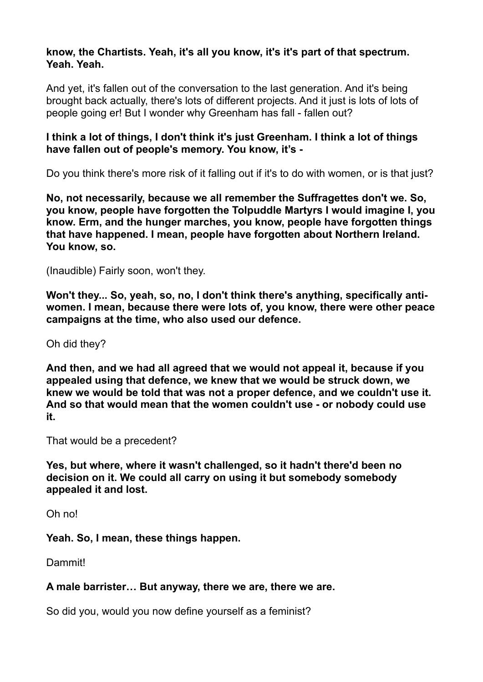#### **know, the Chartists. Yeah, it's all you know, it's it's part of that spectrum. Yeah. Yeah.**

And yet, it's fallen out of the conversation to the last generation. And it's being brought back actually, there's lots of different projects. And it just is lots of lots of people going er! But I wonder why Greenham has fall - fallen out?

#### **I think a lot of things, I don't think it's just Greenham. I think a lot of things have fallen out of people's memory. You know, it's -**

Do you think there's more risk of it falling out if it's to do with women, or is that just?

**No, not necessarily, because we all remember the Suffragettes don't we. So, you know, people have forgotten the Tolpuddle Martyrs I would imagine I, you know. Erm, and the hunger marches, you know, people have forgotten things that have happened. I mean, people have forgotten about Northern Ireland. You know, so.** 

(Inaudible) Fairly soon, won't they.

**Won't they... So, yeah, so, no, I don't think there's anything, specifically antiwomen. I mean, because there were lots of, you know, there were other peace campaigns at the time, who also used our defence.** 

Oh did they?

**And then, and we had all agreed that we would not appeal it, because if you appealed using that defence, we knew that we would be struck down, we knew we would be told that was not a proper defence, and we couldn't use it. And so that would mean that the women couldn't use - or nobody could use it.** 

That would be a precedent?

**Yes, but where, where it wasn't challenged, so it hadn't there'd been no decision on it. We could all carry on using it but somebody somebody appealed it and lost.** 

Oh no!

**Yeah. So, I mean, these things happen.** 

**Dammit!** 

#### **A male barrister… But anyway, there we are, there we are.**

So did you, would you now define yourself as a feminist?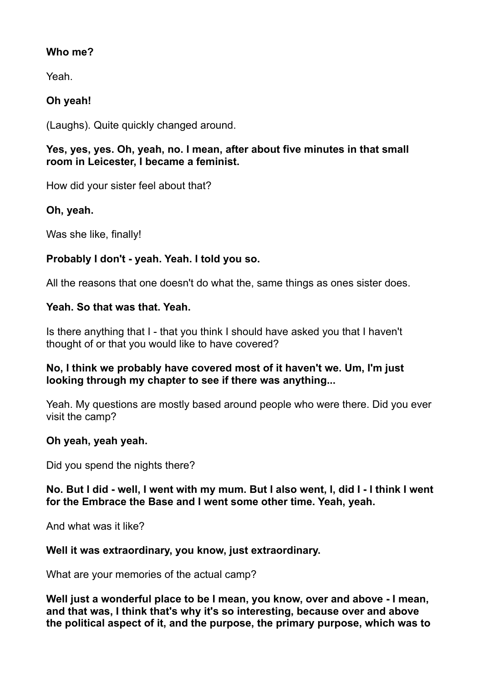### **Who me?**

Yeah.

# **Oh yeah!**

(Laughs). Quite quickly changed around.

### **Yes, yes, yes. Oh, yeah, no. I mean, after about five minutes in that small room in Leicester, I became a feminist.**

How did your sister feel about that?

# **Oh, yeah.**

Was she like, finally!

# **Probably I don't - yeah. Yeah. I told you so.**

All the reasons that one doesn't do what the, same things as ones sister does.

### **Yeah. So that was that. Yeah.**

Is there anything that I - that you think I should have asked you that I haven't thought of or that you would like to have covered?

### **No, I think we probably have covered most of it haven't we. Um, I'm just looking through my chapter to see if there was anything...**

Yeah. My questions are mostly based around people who were there. Did you ever visit the camp?

# **Oh yeah, yeah yeah.**

Did you spend the nights there?

### **No. But I did - well, I went with my mum. But I also went, I, did I - I think I went for the Embrace the Base and I went some other time. Yeah, yeah.**

And what was it like?

### **Well it was extraordinary, you know, just extraordinary.**

What are your memories of the actual camp?

**Well just a wonderful place to be I mean, you know, over and above - I mean, and that was, I think that's why it's so interesting, because over and above the political aspect of it, and the purpose, the primary purpose, which was to**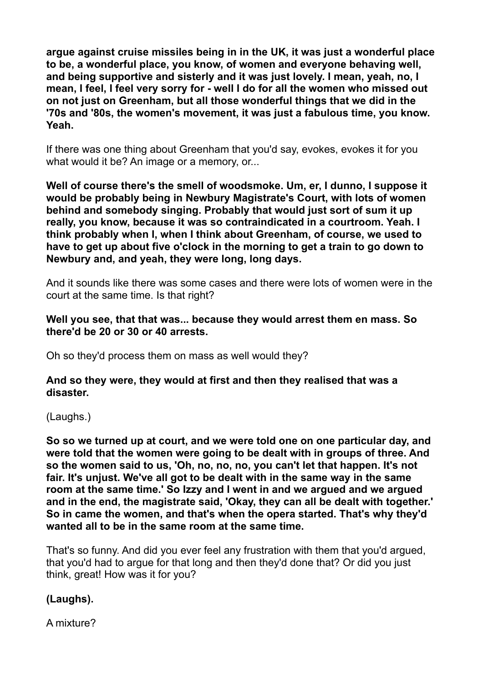**argue against cruise missiles being in in the UK, it was just a wonderful place to be, a wonderful place, you know, of women and everyone behaving well, and being supportive and sisterly and it was just lovely. I mean, yeah, no, I mean, I feel, I feel very sorry for - well I do for all the women who missed out on not just on Greenham, but all those wonderful things that we did in the '70s and '80s, the women's movement, it was just a fabulous time, you know. Yeah.** 

If there was one thing about Greenham that you'd say, evokes, evokes it for you what would it be? An image or a memory, or...

**Well of course there's the smell of woodsmoke. Um, er, I dunno, I suppose it would be probably being in Newbury Magistrate's Court, with lots of women behind and somebody singing. Probably that would just sort of sum it up really, you know, because it was so contraindicated in a courtroom. Yeah. I think probably when I, when I think about Greenham, of course, we used to have to get up about five o'clock in the morning to get a train to go down to Newbury and, and yeah, they were long, long days.** 

And it sounds like there was some cases and there were lots of women were in the court at the same time. Is that right?

#### **Well you see, that that was... because they would arrest them en mass. So there'd be 20 or 30 or 40 arrests.**

Oh so they'd process them on mass as well would they?

#### **And so they were, they would at first and then they realised that was a disaster.**

(Laughs.)

**So so we turned up at court, and we were told one on one particular day, and were told that the women were going to be dealt with in groups of three. And so the women said to us, 'Oh, no, no, no, you can't let that happen. It's not fair. It's unjust. We've all got to be dealt with in the same way in the same room at the same time.' So Izzy and I went in and we argued and we argued and in the end, the magistrate said, 'Okay, they can all be dealt with together.' So in came the women, and that's when the opera started. That's why they'd wanted all to be in the same room at the same time.** 

That's so funny. And did you ever feel any frustration with them that you'd argued, that you'd had to argue for that long and then they'd done that? Or did you just think, great! How was it for you?

# **(Laughs).**

A mixture?